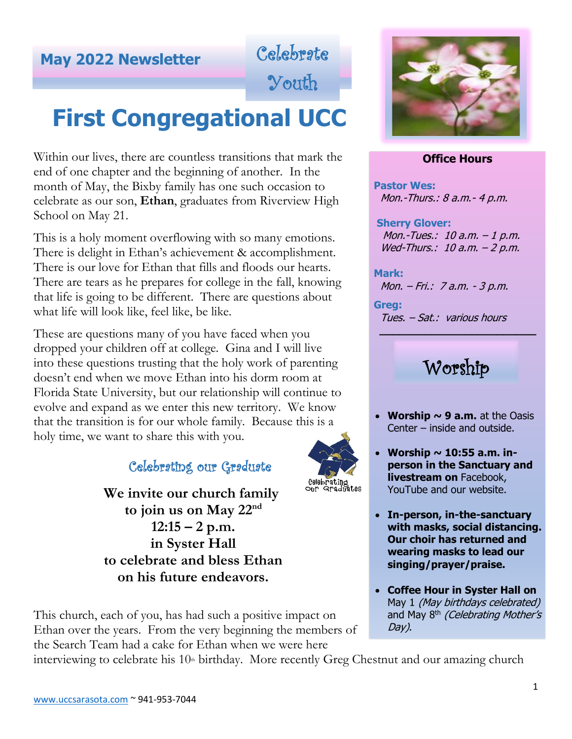# **May <sup>2022</sup> Newsletter** Celebrate

Youth

# **First Congregational UCC**

Within our lives, there are countless transitions that mark the end of one chapter and the beginning of another. In the month of May, the Bixby family has one such occasion to celebrate as our son, **Ethan**, graduates from Riverview High School on May 21.

This is a holy moment overflowing with so many emotions. There is delight in Ethan's achievement & accomplishment. There is our love for Ethan that fills and floods our hearts. There are tears as he prepares for college in the fall, knowing that life is going to be different. There are questions about what life will look like, feel like, be like.

These are questions many of you have faced when you dropped your children off at college. Gina and I will live into these questions trusting that the holy work of parenting doesn't end when we move Ethan into his dorm room at Florida State University, but our relationship will continue to evolve and expand as we enter this new territory. We know that the transition is for our whole family. Because this is a holy time, we want to share this with you.

## Celebrating our Graduate

 **We invite our church family to join us on May 22nd 12:15 – 2 p.m. in Syster Hall to celebrate and bless Ethan on his future endeavors.**

This church, each of you, has had such a positive impact on Ethan over the years. From the very beginning the members of the Search Team had a cake for Ethan when we were here



## **Office Hours**

**Pastor Wes:**  Mon.-Thurs.: 8 a.m.- 4 p.m.

 **Sherry Glover:** Mon.-Tues.: 10 a.m. – 1 p.m. Wed-Thurs.: 10 a.m. – 2 p.m.

**Mark:** Mon. – Fri.: 7 a.m. - 3 p.m.

**Greg:** Tues. – Sat.: various hours

## Worship

 **\_\_\_\_\_\_\_\_\_\_\_\_\_\_\_\_\_\_\_\_\_\_\_\_**

- **Worship**  $\sim$  **9 a.m.** at the Oasis Center – inside and outside.
- **Worship ~ 10:55 a.m. inperson in the Sanctuary and livestream on** Facebook, YouTube and our website.
- **In-person, in-the-sanctuary with masks, social distancing. Our choir has returned and wearing masks to lead our singing/prayer/praise.**
- **Coffee Hour in Syster Hall on**  May 1 *(May birthdays celebrated)* and May 8<sup>th</sup> (Celebrating Mother's Day).

interviewing to celebrate his  $10<sup>th</sup>$  birthday. More recently Greg Chestnut and our amazing church

celebrating<br>our Graduates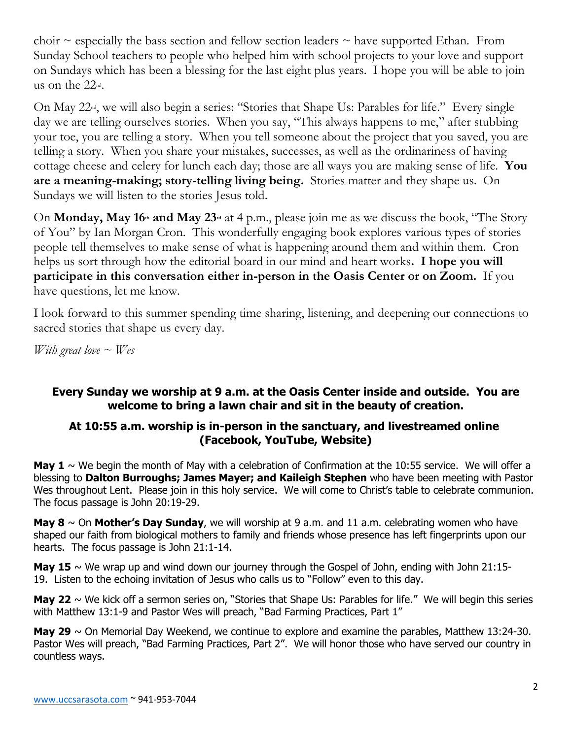choir  $\sim$  especially the bass section and fellow section leaders  $\sim$  have supported Ethan. From Sunday School teachers to people who helped him with school projects to your love and support on Sundays which has been a blessing for the last eight plus years. I hope you will be able to join us on the 22nd.

On May 22<sup>nd</sup>, we will also begin a series: "Stories that Shape Us: Parables for life." Every single day we are telling ourselves stories. When you say, "This always happens to me," after stubbing your toe, you are telling a story. When you tell someone about the project that you saved, you are telling a story. When you share your mistakes, successes, as well as the ordinariness of having cottage cheese and celery for lunch each day; those are all ways you are making sense of life. **You are a meaning-making; story-telling living being.** Stories matter and they shape us. On Sundays we will listen to the stories Jesus told.

On **Monday, May 16th and May 23rd** at 4 p.m., please join me as we discuss the book, "The Story of You" by Ian Morgan Cron. This wonderfully engaging book explores various types of stories people tell themselves to make sense of what is happening around them and within them. Cron helps us sort through how the editorial board in our mind and heart works**. I hope you will participate in this conversation either in-person in the Oasis Center or on Zoom.** If you have questions, let me know.

I look forward to this summer spending time sharing, listening, and deepening our connections to sacred stories that shape us every day.

*With great love ~ Wes*

## **Every Sunday we worship at 9 a.m. at the Oasis Center inside and outside. You are welcome to bring a lawn chair and sit in the beauty of creation.**

## **At 10:55 a.m. worship is in-person in the sanctuary, and livestreamed online (Facebook, YouTube, Website)**

**May 1**  $\sim$  We begin the month of May with a celebration of Confirmation at the 10:55 service. We will offer a blessing to **Dalton Burroughs; James Mayer; and Kaileigh Stephen** who have been meeting with Pastor Wes throughout Lent. Please join in this holy service. We will come to Christ's table to celebrate communion. The focus passage is John 20:19-29.

**May 8** ~ On **Mother's Day Sunday**, we will worship at 9 a.m. and 11 a.m. celebrating women who have shaped our faith from biological mothers to family and friends whose presence has left fingerprints upon our hearts. The focus passage is John 21:1-14.

**May 15**  $\sim$  We wrap up and wind down our journey through the Gospel of John, ending with John 21:15-19. Listen to the echoing invitation of Jesus who calls us to "Follow" even to this day.

**May 22**  $\sim$  We kick off a sermon series on, "Stories that Shape Us: Parables for life." We will begin this series with Matthew 13:1-9 and Pastor Wes will preach, "Bad Farming Practices, Part 1"

**May 29** ~ On Memorial Day Weekend, we continue to explore and examine the parables, Matthew 13:24-30. Pastor Wes will preach, "Bad Farming Practices, Part 2". We will honor those who have served our country in countless ways.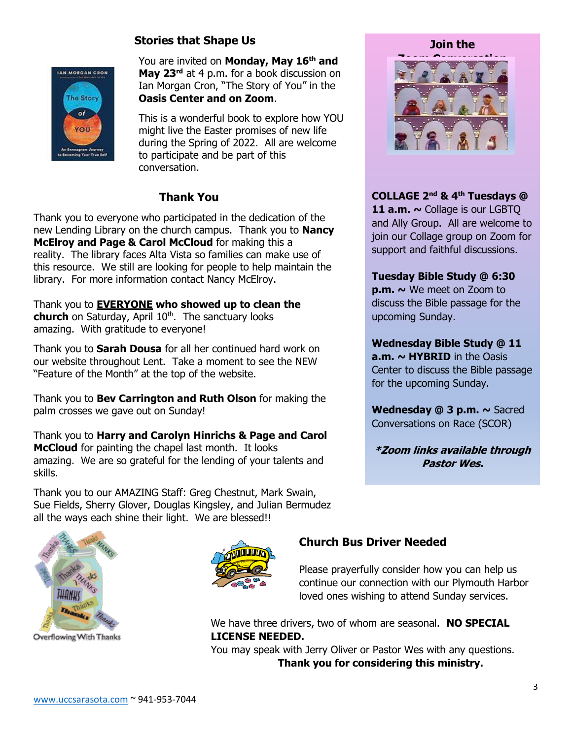## **Stories that Shape Us**



You are invited on **Monday, May 16th and May 23rd** at 4 p.m. for a book discussion on Ian Morgan Cron, "The Story of You" in the **Oasis Center and on Zoom**.

This is a wonderful book to explore how YOU might live the Easter promises of new life during the Spring of 2022. All are welcome to participate and be part of this conversation.

## **Thank You**

Thank you to everyone who participated in the dedication of the new Lending Library on the church campus. Thank you to **Nancy McElroy and Page & Carol McCloud** for making this a reality. The library faces Alta Vista so families can make use of this resource. We still are looking for people to help maintain the library. For more information contact Nancy McElroy.

Thank you to **EVERYONE who showed up to clean the**  church on Saturday, April 10<sup>th</sup>. The sanctuary looks amazing. With gratitude to everyone!

Thank you to **Sarah Dousa** for all her continued hard work on our website throughout Lent. Take a moment to see the NEW "Feature of the Month" at the top of the website.

Thank you to **Bev Carrington and Ruth Olson** for making the palm crosses we gave out on Sunday!

Thank you to **Harry and Carolyn Hinrichs & Page and Carol McCloud** for painting the chapel last month. It looks amazing. We are so grateful for the lending of your talents and skills.

Thank you to our AMAZING Staff: Greg Chestnut, Mark Swain, Sue Fields, Sherry Glover, Douglas Kingsley, and Julian Bermudez all the ways each shine their light. We are blessed!!



Overflowing With Thanks





**Join the Zoom Conversation**

**COLLAGE 2 nd & 4th Tuesdays @**  11 a.m.  $\sim$  Collage is our LGBTQ and Ally Group. All are welcome to join our Collage group on Zoom for support and faithful discussions.

#### **Tuesday Bible Study @ 6:30**

**p.m. ~** We meet on Zoom to discuss the Bible passage for the upcoming Sunday.

**Wednesday Bible Study @ 11 a.m. ~ HYBRID** in the Oasis Center to discuss the Bible passage for the upcoming Sunday.

**Wednesday @ 3 p.m. ~** Sacred Conversations on Race (SCOR)

**\*Zoom links available through Pastor Wes.**

## **Church Bus Driver Needed**

Please prayerfully consider how you can help us continue our connection with our Plymouth Harbor loved ones wishing to attend Sunday services.

We have three drivers, two of whom are seasonal. **NO SPECIAL LICENSE NEEDED.** 

You may speak with Jerry Oliver or Pastor Wes with any questions. **Thank you for considering this ministry.**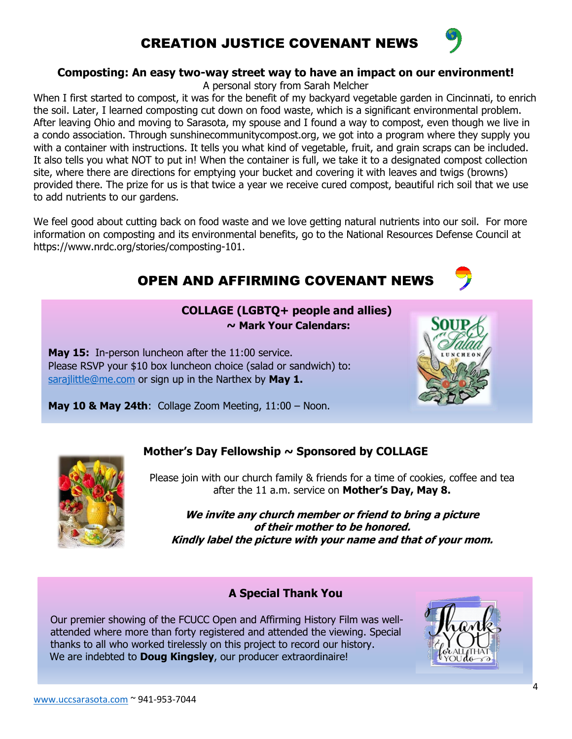## CREATION JUSTICE COVENANT NEWS

#### **Composting: An easy two-way street way to have an impact on our environment!**

A personal story from Sarah Melcher

When I first started to compost, it was for the benefit of my backyard vegetable garden in Cincinnati, to enrich the soil. Later, I learned composting cut down on food waste, which is a significant environmental problem. After leaving Ohio and moving to Sarasota, my spouse and I found a way to compost, even though we live in a condo association. Through sunshinecommunitycompost.org, we got into a program where they supply you with a container with instructions. It tells you what kind of vegetable, fruit, and grain scraps can be included. It also tells you what NOT to put in! When the container is full, we take it to a designated compost collection site, where there are directions for emptying your bucket and covering it with leaves and twigs (browns) provided there. The prize for us is that twice a year we receive cured compost, beautiful rich soil that we use to add nutrients to our gardens.

We feel good about cutting back on food waste and we love getting natural nutrients into our soil. For more information on composting and its environmental benefits, go to the National Resources Defense Council at https://www.nrdc.org/stories/composting-101.

## OPEN AND AFFIRMING COVENANT NEWS

#### **COLLAGE (LGBTQ+ people and allies) ~ Mark Your Calendars:**

**May 15:** In-person luncheon after the 11:00 service. Please RSVP your \$10 box luncheon choice (salad or sandwich) to: [sarajlittle@me.com](mailto:sarajlittle@me.com) or sign up in the Narthex by **May 1.**



**May 10 & May 24th**: Collage Zoom Meeting, 11:00 – Noon.



## **Mother's Day Fellowship ~ Sponsored by COLLAGE**

Please join with our church family & friends for a time of cookies, coffee and tea after the 11 a.m. service on **Mother's Day, May 8.**

**We invite any church member or friend to bring a picture of their mother to be honored. Kindly label the picture with your name and that of your mom.**

## **A Special Thank You**

Our premier showing of the FCUCC Open and Affirming History Film was wellattended where more than forty registered and attended the viewing. Special thanks to all who worked tirelessly on this project to record our history. We are indebted to **Doug Kingsley**, our producer extraordinaire!

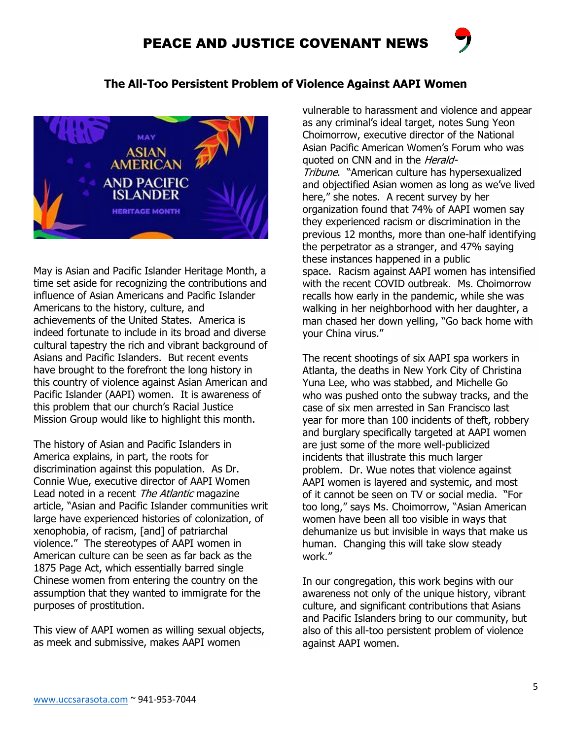## PEACE AND JUSTICE COVENANT NEWS





May is Asian and Pacific Islander Heritage Month, a time set aside for recognizing the contributions and influence of Asian Americans and Pacific Islander Americans to the history, culture, and achievements of the United States. America is indeed fortunate to include in its broad and diverse cultural tapestry the rich and vibrant background of Asians and Pacific Islanders. But recent events have brought to the forefront the long history in this country of violence against Asian American and Pacific Islander (AAPI) women. It is awareness of this problem that our church's Racial Justice Mission Group would like to highlight this month.

The history of Asian and Pacific Islanders in America explains, in part, the roots for discrimination against this population. As Dr. Connie Wue, executive director of AAPI Women Lead noted in a recent The Atlantic magazine article, "Asian and Pacific Islander communities writ large have experienced histories of colonization, of xenophobia, of racism, [and] of patriarchal violence." The stereotypes of AAPI women in American culture can be seen as far back as the 1875 Page Act, which essentially barred single Chinese women from entering the country on the assumption that they wanted to immigrate for the purposes of prostitution.

This view of AAPI women as willing sexual objects, as meek and submissive, makes AAPI women

vulnerable to harassment and violence and appear as any criminal's ideal target, notes Sung Yeon Choimorrow, executive director of the National Asian Pacific American Women's Forum who was quoted on CNN and in the *Herald-*

Tribune. "American culture has hypersexualized and objectified Asian women as long as we've lived here," she notes. A recent survey by her organization found that 74% of AAPI women say they experienced racism or discrimination in the previous 12 months, more than one-half identifying the perpetrator as a stranger, and 47% saying these instances happened in a public space. Racism against AAPI women has intensified with the recent COVID outbreak. Ms. Choimorrow recalls how early in the pandemic, while she was walking in her neighborhood with her daughter, a man chased her down yelling, "Go back home with your China virus."

The recent shootings of six AAPI spa workers in Atlanta, the deaths in New York City of Christina Yuna Lee, who was stabbed, and Michelle Go who was pushed onto the subway tracks, and the case of six men arrested in San Francisco last year for more than 100 incidents of theft, robbery and burglary specifically targeted at AAPI women are just some of the more well-publicized incidents that illustrate this much larger problem. Dr. Wue notes that violence against AAPI women is layered and systemic, and most of it cannot be seen on TV or social media. "For too long," says Ms. Choimorrow, "Asian American women have been all too visible in ways that dehumanize us but invisible in ways that make us human. Changing this will take slow steady work."

In our congregation, this work begins with our awareness not only of the unique history, vibrant culture, and significant contributions that Asians and Pacific Islanders bring to our community, but also of this all-too persistent problem of violence against AAPI women.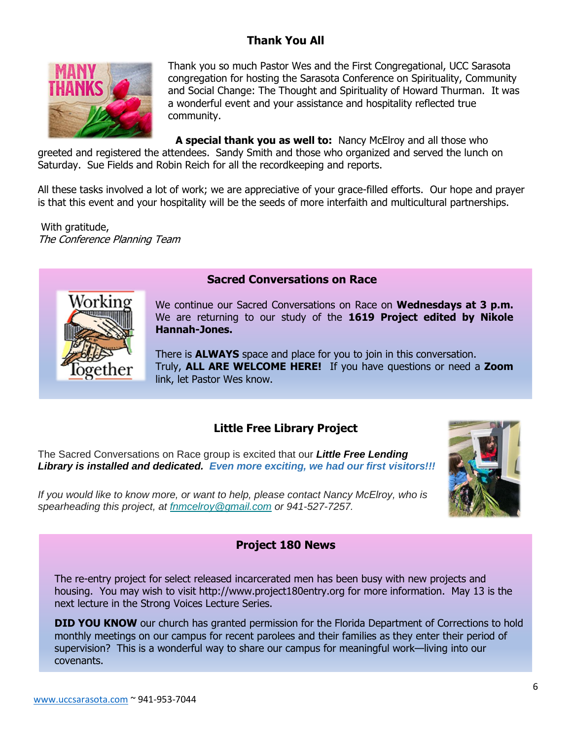## **Thank You All**



Thank you so much Pastor Wes and the First Congregational, UCC Sarasota congregation for hosting the Sarasota Conference on Spirituality, Community and Social Change: The Thought and Spirituality of Howard Thurman. It was a wonderful event and your assistance and hospitality reflected true community.

**A special thank you as well to:** Nancy McElroy and all those who greeted and registered the attendees.Sandy Smith and those who organized and served the lunch on Saturday.Sue Fields and Robin Reich for all the recordkeeping and reports.

All these tasks involved a lot of work; we are appreciative of your grace-filled efforts. Our hope and prayer is that this event and your hospitality will be the seeds of more interfaith and multicultural partnerships.

With gratitude, The Conference Planning Team



## **Sacred Conversations on Race**

We continue our Sacred Conversations on Race on **Wednesdays at 3 p.m.**  We are returning to our study of the **1619 Project edited by Nikole Hannah-Jones.**

There is **ALWAYS** space and place for you to join in this conversation. Truly, **ALL ARE WELCOME HERE!** If you have questions or need a **Zoom** link, let Pastor Wes know.

## **Little Free Library Project**

The Sacred Conversations on Race group is excited that our *Little Free Lending Library is installed and dedicated. Even more exciting, we had our first visitors!!!* 



*If you would like to know more, or want to help, please contact Nancy McElroy, who is spearheading this project, at [fnmcelroy@gmail.com](mailto:fnmcelroy@gmail.com) or 941-527-7257.*

#### **Project 180 News**

The re-entry project for select released incarcerated men has been busy with new projects and housing. You may wish to visit http://www.project180entry.org for more information. May 13 is the next lecture in the Strong Voices Lecture Series.

**DID YOU KNOW** our church has granted permission for the Florida Department of Corrections to hold monthly meetings on our campus for recent parolees and their families as they enter their period of supervision? This is a wonderful way to share our campus for meaningful work—living into our covenants.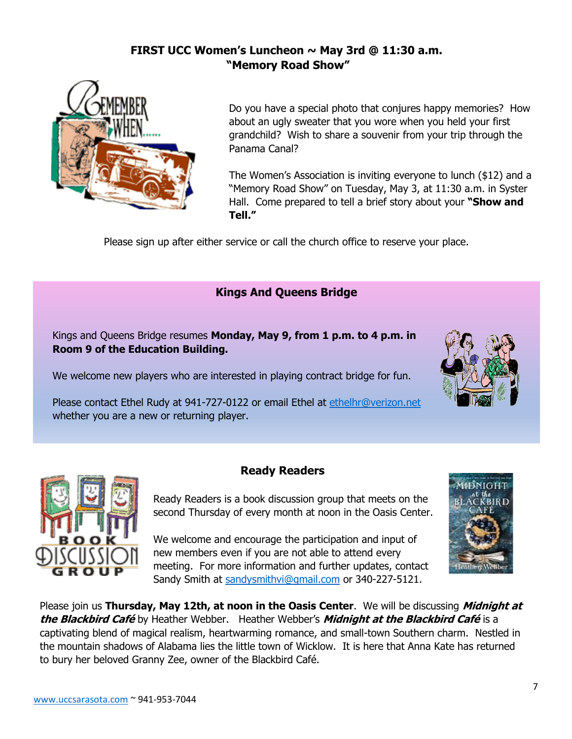## **FIRST UCC Women's Luncheon ~ May 3rd @ 11:30 a.m. "Memory Road Show"**



Do you have a special photo that conjures happy memories? How about an ugly sweater that you wore when you held your first grandchild? Wish to share a souvenir from your trip through the Panama Canal?

The Women's Association is inviting everyone to lunch (\$12) and a "Memory Road Show" on Tuesday, May 3, at 11:30 a.m. in Syster Hall. Come prepared to tell a brief story about your **"Show and Tell."**

Please sign up after either service or call the church office to reserve your place.

## **Kings And Queens Bridge**

Kings and Queens Bridge resumes **Monday, May 9, from 1 p.m. to 4 p.m. in Room 9 of the Education Building.** 

We welcome new players who are interested in playing contract bridge for fun.

Please contact Ethel Rudy at 941-727-0122 or email Ethel at [ethelhr@verizon.net](mailto:ethelhr@verizon.net) whether you are a new or returning player.



Ready Readers is a book discussion group that meets on the second Thursday of every month at noon in the Oasis Center.

We welcome and encourage the participation and input of new members even if you are not able to attend every meeting. For more information and further updates, contact Sandy Smith at [sandysmithvi@gmail.com](about:blank) or 340-227-5121.



Please join us **Thursday, May 12th, at noon in the Oasis Center**. We will be discussing **Midnight at the Blackbird Café** by Heather Webber. Heather Webber's **Midnight at the Blackbird Café** is a captivating blend of magical realism, heartwarming romance, and small-town Southern charm. Nestled in the mountain shadows of Alabama lies the little town of Wicklow. It is here that Anna Kate has returned to bury her beloved Granny Zee, owner of the Blackbird Café.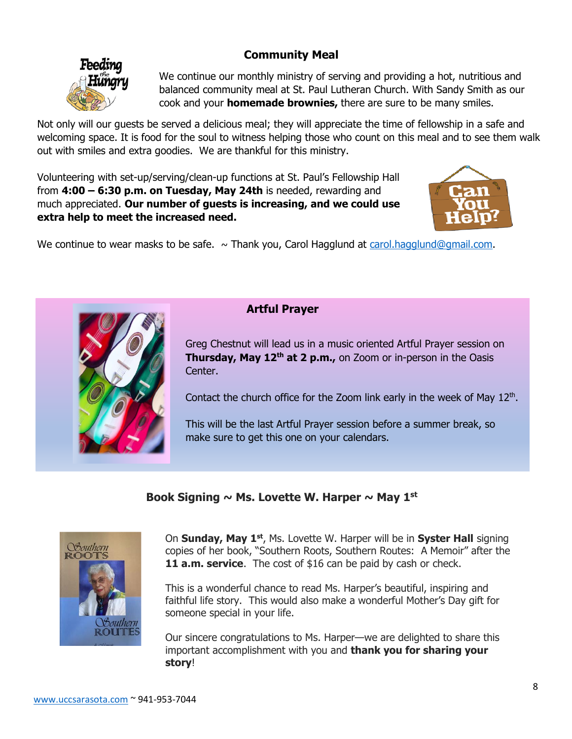## **Community Meal**



We continue our monthly ministry of serving and providing a hot, nutritious and balanced community meal at St. Paul Lutheran Church. With Sandy Smith as our cook and your **homemade brownies,** there are sure to be many smiles.

Not only will our guests be served a delicious meal; they will appreciate the time of fellowship in a safe and welcoming space. It is food for the soul to witness helping those who count on this meal and to see them walk out with smiles and extra goodies. We are thankful for this ministry.

Volunteering with set-up/serving/clean-up functions at St. Paul's Fellowship Hall from **4:00 – 6:30 p.m. on Tuesday, May 24th** is needed, rewarding and much appreciated. **Our number of guests is increasing, and we could use extra help to meet the increased need.**



We continue to wear masks to be safe.  $\sim$  Thank you, Carol Hagglund at [carol.hagglund@gmail.com.](mailto:carol.hagglund@gmail.com)



## **Artful Prayer**

Greg Chestnut will lead us in a music oriented Artful Prayer session on **Thursday, May 12th at 2 p.m.,** on Zoom or in-person in the Oasis Center.

Contact the church office for the Zoom link early in the week of May  $12<sup>th</sup>$ .

This will be the last Artful Prayer session before a summer break, so make sure to get this one on your calendars.

#### **Book Signing ~ Ms. Lovette W. Harper ~ May 1st**



On **Sunday, May 1st**, Ms. Lovette W. Harper will be in **Syster Hall** signing copies of her book, "Southern Roots, Southern Routes: A Memoir" after the **11 a.m. service**. The cost of \$16 can be paid by cash or check.

This is a wonderful chance to read Ms. Harper's beautiful, inspiring and faithful life story. This would also make a wonderful Mother's Day gift for someone special in your life.

Our sincere congratulations to Ms. Harper—we are delighted to share this important accomplishment with you and **thank you for sharing your story**!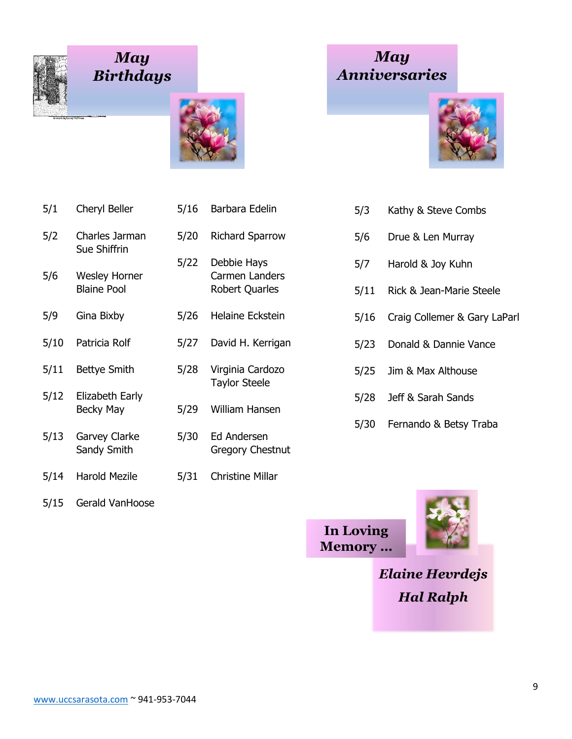

## *May Birthdays*



5/22 Debbie Hays

Taylor Steele

- 5/1 Cheryl Beller 5/16 Barbara Edelin 5/2 Charles Jarman 5/20 Richard Sparrow Sue Shiffrin
- 5/6 Wesley Horner Carmen Landers Blaine Pool Robert Quarles
- 5/9 Gina Bixby 5/26 Helaine Eckstein
- 5/10 Patricia Rolf 5/27 David H. Kerrigan
- 5/11 Bettye Smith 5/28 Virginia Cardozo
- 5/12 Elizabeth Early Becky May 5/29 William Hansen
- 5/13 Garvey Clarke 5/30 Ed Andersen Sandy Smith Gregory Chestnut
- 5/14 Harold Mezile 5/31 Christine Millar
- 5/15 Gerald VanHoose





- 5/3 Kathy & Steve Combs
- 5/6 Drue & Len Murray
- 5/7 Harold & Joy Kuhn
- 5/11 Rick & Jean-Marie Steele
- 5/16 Craig Collemer & Gary LaParl
- 5/23 Donald & Dannie Vance
- 5/25 Jim & Max Althouse
- 5/28 Jeff & Sarah Sands
- 5/30 Fernando & Betsy Traba

**In Loving Memory …**



*Elaine Hevrdejs Hal Ralph*